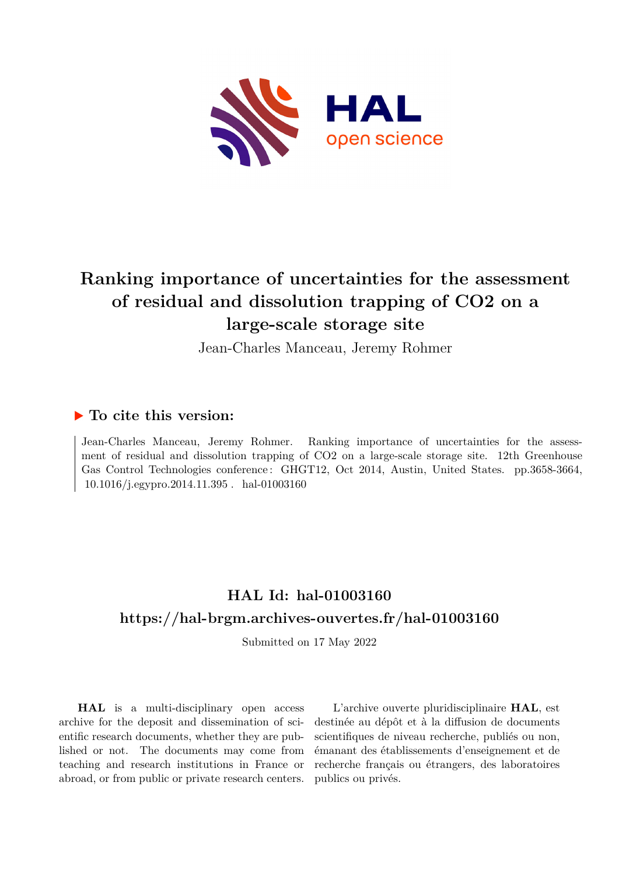

# **Ranking importance of uncertainties for the assessment of residual and dissolution trapping of CO2 on a large-scale storage site**

Jean-Charles Manceau, Jeremy Rohmer

### **To cite this version:**

Jean-Charles Manceau, Jeremy Rohmer. Ranking importance of uncertainties for the assessment of residual and dissolution trapping of CO2 on a large-scale storage site. 12th Greenhouse Gas Control Technologies conference : GHGT12, Oct 2014, Austin, United States. pp.3658-3664,  $10.1016/j.egypro.2014.11.395$ . hal-01003160

## **HAL Id: hal-01003160 <https://hal-brgm.archives-ouvertes.fr/hal-01003160>**

Submitted on 17 May 2022

**HAL** is a multi-disciplinary open access archive for the deposit and dissemination of scientific research documents, whether they are published or not. The documents may come from teaching and research institutions in France or abroad, or from public or private research centers.

L'archive ouverte pluridisciplinaire **HAL**, est destinée au dépôt et à la diffusion de documents scientifiques de niveau recherche, publiés ou non, émanant des établissements d'enseignement et de recherche français ou étrangers, des laboratoires publics ou privés.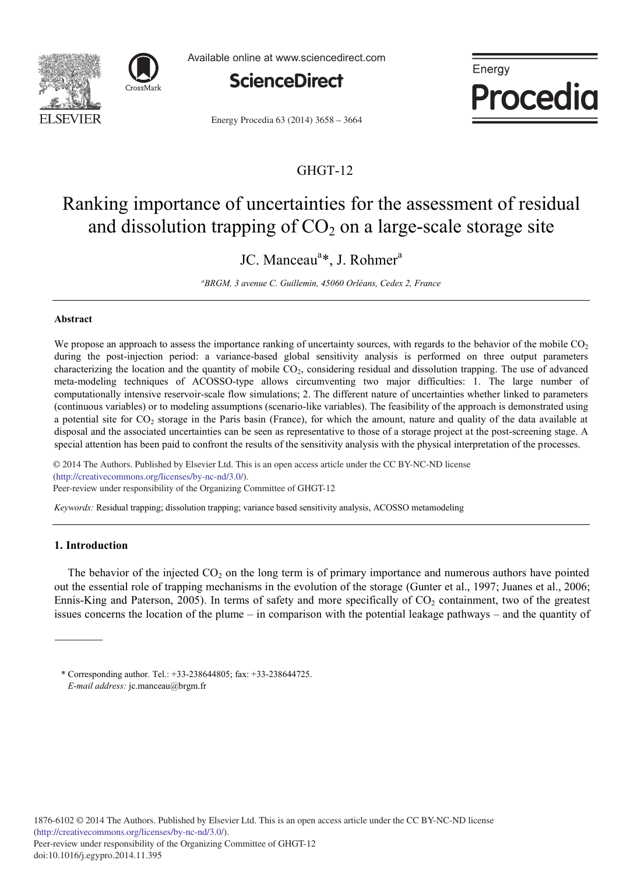



Available online at www.sciencedirect.com



Energy Procedia

Energy Procedia 63 (2014) 3658 - 3664

### GHGT-12

## Ranking importance of uncertainties for the assessment of residual and dissolution trapping of  $CO<sub>2</sub>$  on a large-scale storage site

JC. Manceau<sup>a</sup>\*, J. Rohmer<sup>a</sup>

*a BRGM, 3 avenue C. Guillemin, 45060 Orléans, Cedex 2, France*

#### **Abstract**

We propose an approach to assess the importance ranking of uncertainty sources, with regards to the behavior of the mobile  $CO<sub>2</sub>$ during the post-injection period: a variance-based global sensitivity analysis is performed on three output parameters characterizing the location and the quantity of mobile  $CO<sub>2</sub>$ , considering residual and dissolution trapping. The use of advanced meta-modeling techniques of ACOSSO-type allows circumventing two major difficulties: 1. The large number of computationally intensive reservoir-scale flow simulations; 2. The different nature of uncertainties whether linked to parameters (continuous variables) or to modeling assumptions (scenario-like variables). The feasibility of the approach is demonstrated using a potential site for  $CO_2$  storage in the Paris basin (France), for which the amount, nature and quality of the data available at disposal and the associated uncertainties can be seen as representative to those of a storage project at the post-screening stage. A special attention has been paid to confront the results of the sensitivity analysis with the physical interpretation of the processes.

© 2013 The Authors. Published by Elsevier Ltd. (http://creativecommons.org/licenses/by-nc-nd/3.0/). (incp.//creativecommons.org/neenses/oymethermichedulers.org/neenses/org/neenses/org/neenses/org/neenses/org/neenses/org/neenses/org/neenses/org/neenses/org/neenses/org/neenses/org/neenses/org/neenses/org/neenses/org/neense © 2014 The Authors. Published by Elsevier Ltd. This is an open access article under the CC BY-NC-ND license

*Keywords:* Residual trapping; dissolution trapping; variance based sensitivity analysis, ACOSSO metamodeling

#### **1. Introduction**

The behavior of the injected  $CO<sub>2</sub>$  on the long term is of primary importance and numerous authors have pointed out the essential role of trapping mechanisms in the evolution of the storage (Gunter et al., 1997; Juanes et al., 2006; Ennis-King and Paterson, 2005). In terms of safety and more specifically of  $CO<sub>2</sub>$  containment, two of the greatest issues concerns the location of the plume – in comparison with the potential leakage pathways – and the quantity of

<sup>\*</sup> Corresponding author. Tel.: +33-238644805; fax: +33-238644725. *E-mail address:* jc.manceau@brgm.fr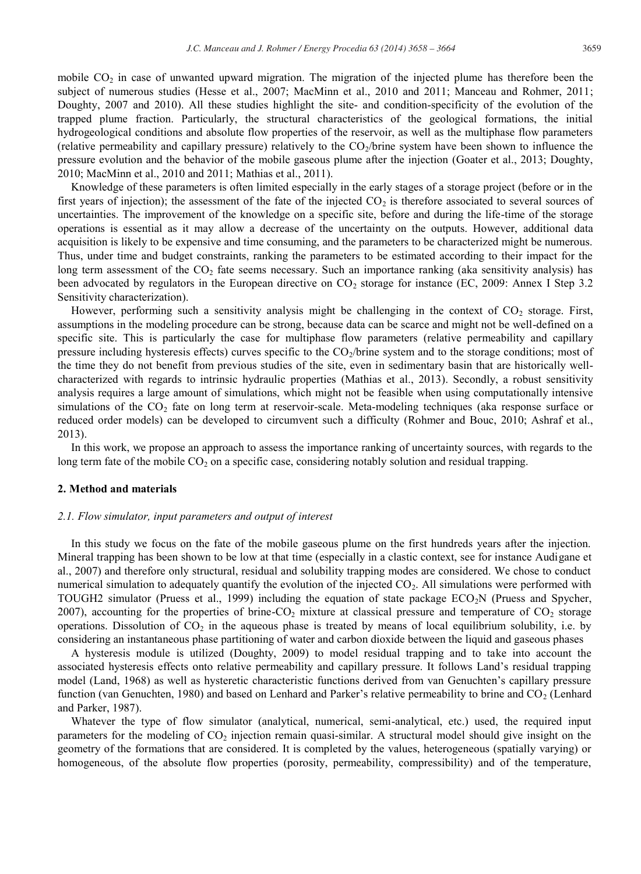mobile  $CO<sub>2</sub>$  in case of unwanted upward migration. The migration of the injected plume has therefore been the subject of numerous studies (Hesse et al., 2007; MacMinn et al., 2010 and 2011; Manceau and Rohmer, 2011; Doughty, 2007 and 2010). All these studies highlight the site- and condition-specificity of the evolution of the trapped plume fraction. Particularly, the structural characteristics of the geological formations, the initial hydrogeological conditions and absolute flow properties of the reservoir, as well as the multiphase flow parameters (relative permeability and capillary pressure) relatively to the  $CO<sub>2</sub>/\text{brine system have been shown to influence the}$ pressure evolution and the behavior of the mobile gaseous plume after the injection (Goater et al., 2013; Doughty, 2010; MacMinn et al., 2010 and 2011; Mathias et al., 2011).

Knowledge of these parameters is often limited especially in the early stages of a storage project (before or in the first years of injection); the assessment of the fate of the injected  $CO<sub>2</sub>$  is therefore associated to several sources of uncertainties. The improvement of the knowledge on a specific site, before and during the life-time of the storage operations is essential as it may allow a decrease of the uncertainty on the outputs. However, additional data acquisition is likely to be expensive and time consuming, and the parameters to be characterized might be numerous. Thus, under time and budget constraints, ranking the parameters to be estimated according to their impact for the long term assessment of the  $CO<sub>2</sub>$  fate seems necessary. Such an importance ranking (aka sensitivity analysis) has been advocated by regulators in the European directive on  $CO_2$  storage for instance (EC, 2009: Annex I Step 3.2 Sensitivity characterization).

However, performing such a sensitivity analysis might be challenging in the context of  $CO<sub>2</sub>$  storage. First, assumptions in the modeling procedure can be strong, because data can be scarce and might not be well-defined on a specific site. This is particularly the case for multiphase flow parameters (relative permeability and capillary pressure including hysteresis effects) curves specific to the  $CO<sub>2</sub>/\text{brine system}$  and to the storage conditions; most of the time they do not benefit from previous studies of the site, even in sedimentary basin that are historically wellcharacterized with regards to intrinsic hydraulic properties (Mathias et al., 2013). Secondly, a robust sensitivity analysis requires a large amount of simulations, which might not be feasible when using computationally intensive simulations of the CO<sub>2</sub> fate on long term at reservoir-scale. Meta-modeling techniques (aka response surface or reduced order models) can be developed to circumvent such a difficulty (Rohmer and Bouc, 2010; Ashraf et al., 2013).

In this work, we propose an approach to assess the importance ranking of uncertainty sources, with regards to the long term fate of the mobile CO<sub>2</sub> on a specific case, considering notably solution and residual trapping.

#### **2. Method and materials**

#### *2.1. Flow simulator, input parameters and output of interest*

In this study we focus on the fate of the mobile gaseous plume on the first hundreds years after the injection. Mineral trapping has been shown to be low at that time (especially in a clastic context, see for instance Audigane et al., 2007) and therefore only structural, residual and solubility trapping modes are considered. We chose to conduct numerical simulation to adequately quantify the evolution of the injected  $CO<sub>2</sub>$ . All simulations were performed with TOUGH2 simulator (Pruess et al., 1999) including the equation of state package  $ECO<sub>2</sub>N$  (Pruess and Spycher, 2007), accounting for the properties of brine-CO<sub>2</sub> mixture at classical pressure and temperature of  $CO_2$  storage operations. Dissolution of  $CO<sub>2</sub>$  in the aqueous phase is treated by means of local equilibrium solubility, i.e. by considering an instantaneous phase partitioning of water and carbon dioxide between the liquid and gaseous phases

A hysteresis module is utilized (Doughty, 2009) to model residual trapping and to take into account the associated hysteresis effects onto relative permeability and capillary pressure. It follows Land's residual trapping model (Land, 1968) as well as hysteretic characteristic functions derived from van Genuchten's capillary pressure function (van Genuchten, 1980) and based on Lenhard and Parker's relative permeability to brine and  $CO<sub>2</sub>$  (Lenhard and Parker, 1987).

Whatever the type of flow simulator (analytical, numerical, semi-analytical, etc.) used, the required input parameters for the modeling of  $CO<sub>2</sub>$  injection remain quasi-similar. A structural model should give insight on the geometry of the formations that are considered. It is completed by the values, heterogeneous (spatially varying) or homogeneous, of the absolute flow properties (porosity, permeability, compressibility) and of the temperature,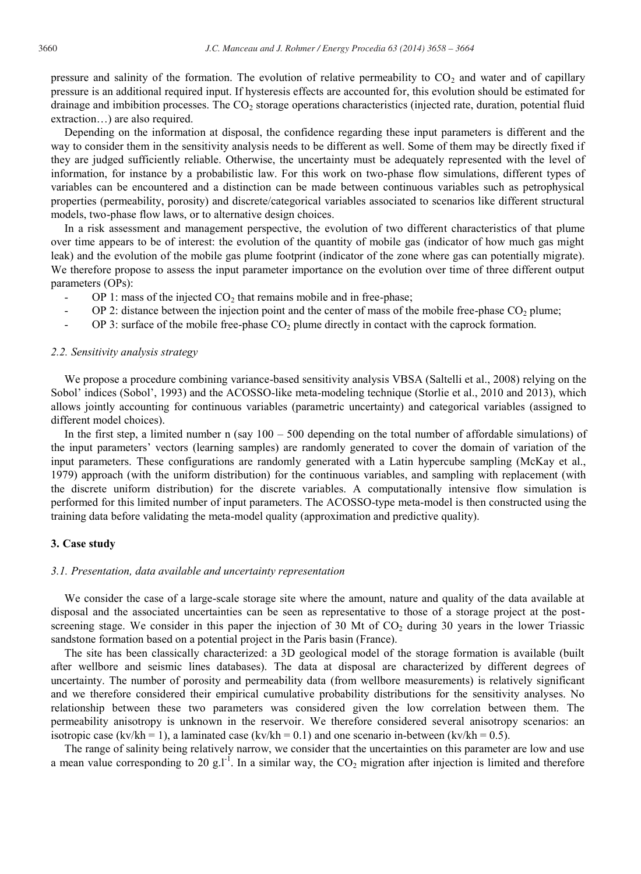pressure and salinity of the formation. The evolution of relative permeability to  $CO<sub>2</sub>$  and water and of capillary pressure is an additional required input. If hysteresis effects are accounted for, this evolution should be estimated for drainage and imbibition processes. The  $CO<sub>2</sub>$  storage operations characteristics (injected rate, duration, potential fluid extraction…) are also required.

Depending on the information at disposal, the confidence regarding these input parameters is different and the way to consider them in the sensitivity analysis needs to be different as well. Some of them may be directly fixed if they are judged sufficiently reliable. Otherwise, the uncertainty must be adequately represented with the level of information, for instance by a probabilistic law. For this work on two-phase flow simulations, different types of variables can be encountered and a distinction can be made between continuous variables such as petrophysical properties (permeability, porosity) and discrete/categorical variables associated to scenarios like different structural models, two-phase flow laws, or to alternative design choices.

In a risk assessment and management perspective, the evolution of two different characteristics of that plume over time appears to be of interest: the evolution of the quantity of mobile gas (indicator of how much gas might leak) and the evolution of the mobile gas plume footprint (indicator of the zone where gas can potentially migrate). We therefore propose to assess the input parameter importance on the evolution over time of three different output parameters (OPs):

- OP 1: mass of the injected  $CO<sub>2</sub>$  that remains mobile and in free-phase;
- OP 2: distance between the injection point and the center of mass of the mobile free-phase  $CO<sub>2</sub>$  plume;
- OP 3: surface of the mobile free-phase  $CO<sub>2</sub>$  plume directly in contact with the caprock formation.

#### *2.2. Sensitivity analysis strategy*

We propose a procedure combining variance-based sensitivity analysis VBSA (Saltelli et al., 2008) relying on the Sobol' indices (Sobol', 1993) and the ACOSSO-like meta-modeling technique (Storlie et al., 2010 and 2013), which allows jointly accounting for continuous variables (parametric uncertainty) and categorical variables (assigned to different model choices).

In the first step, a limited number n (say  $100 - 500$  depending on the total number of affordable simulations) of the input parameters' vectors (learning samples) are randomly generated to cover the domain of variation of the input parameters. These configurations are randomly generated with a Latin hypercube sampling (McKay et al., 1979) approach (with the uniform distribution) for the continuous variables, and sampling with replacement (with the discrete uniform distribution) for the discrete variables. A computationally intensive flow simulation is performed for this limited number of input parameters. The ACOSSO-type meta-model is then constructed using the training data before validating the meta-model quality (approximation and predictive quality).

#### **3. Case study**

#### *3.1. Presentation, data available and uncertainty representation*

We consider the case of a large-scale storage site where the amount, nature and quality of the data available at disposal and the associated uncertainties can be seen as representative to those of a storage project at the postscreening stage. We consider in this paper the injection of 30 Mt of  $CO<sub>2</sub>$  during 30 years in the lower Triassic sandstone formation based on a potential project in the Paris basin (France).

The site has been classically characterized: a 3D geological model of the storage formation is available (built after wellbore and seismic lines databases). The data at disposal are characterized by different degrees of uncertainty. The number of porosity and permeability data (from wellbore measurements) is relatively significant and we therefore considered their empirical cumulative probability distributions for the sensitivity analyses. No relationship between these two parameters was considered given the low correlation between them. The permeability anisotropy is unknown in the reservoir. We therefore considered several anisotropy scenarios: an isotropic case (kv/kh = 1), a laminated case (kv/kh = 0.1) and one scenario in-between (kv/kh = 0.5).

The range of salinity being relatively narrow, we consider that the uncertainties on this parameter are low and use a mean value corresponding to 20 g.l<sup>-1</sup>. In a similar way, the  $CO<sub>2</sub>$  migration after injection is limited and therefore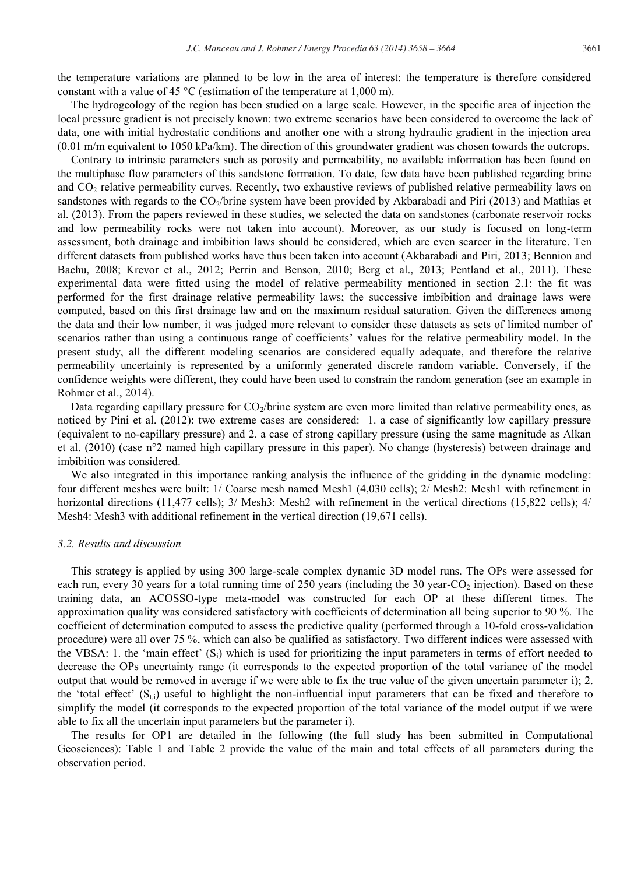the temperature variations are planned to be low in the area of interest: the temperature is therefore considered constant with a value of 45 °C (estimation of the temperature at 1,000 m).

The hydrogeology of the region has been studied on a large scale. However, in the specific area of injection the local pressure gradient is not precisely known: two extreme scenarios have been considered to overcome the lack of data, one with initial hydrostatic conditions and another one with a strong hydraulic gradient in the injection area  $(0.01 \text{ m/m}$  equivalent to 1050 kPa/km). The direction of this groundwater gradient was chosen towards the outcrops.

Contrary to intrinsic parameters such as porosity and permeability, no available information has been found on the multiphase flow parameters of this sandstone formation. To date, few data have been published regarding brine and  $CO<sub>2</sub>$  relative permeability curves. Recently, two exhaustive reviews of published relative permeability laws on sandstones with regards to the CO<sub>2</sub>/brine system have been provided by Akbarabadi and Piri (2013) and Mathias et al. (2013). From the papers reviewed in these studies, we selected the data on sandstones (carbonate reservoir rocks and low permeability rocks were not taken into account). Moreover, as our study is focused on long-term assessment, both drainage and imbibition laws should be considered, which are even scarcer in the literature. Ten different datasets from published works have thus been taken into account (Akbarabadi and Piri, 2013; Bennion and Bachu, 2008; Krevor et al., 2012; Perrin and Benson, 2010; Berg et al., 2013; Pentland et al., 2011). These experimental data were fitted using the model of relative permeability mentioned in section 2.1: the fit was performed for the first drainage relative permeability laws; the successive imbibition and drainage laws were computed, based on this first drainage law and on the maximum residual saturation. Given the differences among the data and their low number, it was judged more relevant to consider these datasets as sets of limited number of scenarios rather than using a continuous range of coefficients' values for the relative permeability model. In the present study, all the different modeling scenarios are considered equally adequate, and therefore the relative permeability uncertainty is represented by a uniformly generated discrete random variable. Conversely, if the confidence weights were different, they could have been used to constrain the random generation (see an example in Rohmer et al., 2014).

Data regarding capillary pressure for  $CO_2$ /brine system are even more limited than relative permeability ones, as noticed by Pini et al. (2012): two extreme cases are considered: 1. a case of significantly low capillary pressure (equivalent to no-capillary pressure) and 2. a case of strong capillary pressure (using the same magnitude as Alkan et al. (2010) (case n°2 named high capillary pressure in this paper). No change (hysteresis) between drainage and imbibition was considered.

We also integrated in this importance ranking analysis the influence of the gridding in the dynamic modeling: four different meshes were built: 1/ Coarse mesh named Mesh1 (4,030 cells); 2/ Mesh2: Mesh1 with refinement in horizontal directions (11,477 cells); 3/ Mesh3: Mesh2 with refinement in the vertical directions (15,822 cells); 4/ Mesh4: Mesh3 with additional refinement in the vertical direction (19,671 cells).

#### *3.2. Results and discussion*

This strategy is applied by using 300 large-scale complex dynamic 3D model runs. The OPs were assessed for each run, every 30 years for a total running time of 250 years (including the 30 year-CO<sub>2</sub> injection). Based on these training data, an ACOSSO-type meta-model was constructed for each OP at these different times. The approximation quality was considered satisfactory with coefficients of determination all being superior to 90 %. The coefficient of determination computed to assess the predictive quality (performed through a 10-fold cross-validation procedure) were all over 75 %, which can also be qualified as satisfactory. Two different indices were assessed with the VBSA: 1. the 'main effect'  $(S_i)$  which is used for prioritizing the input parameters in terms of effort needed to decrease the OPs uncertainty range (it corresponds to the expected proportion of the total variance of the model output that would be removed in average if we were able to fix the true value of the given uncertain parameter i); 2. the 'total effect'  $(S_{t,i})$  useful to highlight the non-influential input parameters that can be fixed and therefore to simplify the model (it corresponds to the expected proportion of the total variance of the model output if we were able to fix all the uncertain input parameters but the parameter i).

The results for OP1 are detailed in the following (the full study has been submitted in Computational Geosciences): Table 1 and Table 2 provide the value of the main and total effects of all parameters during the observation period.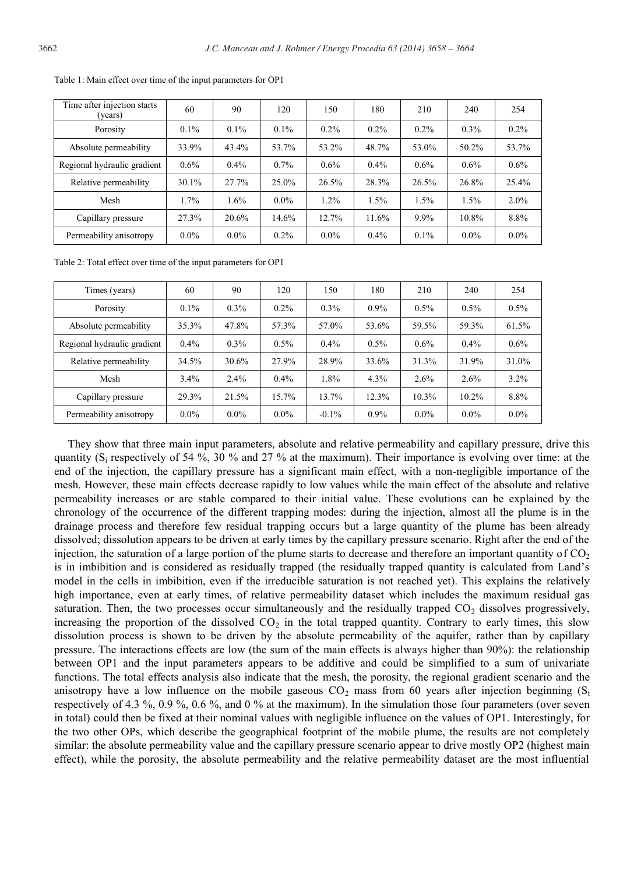| Time after injection starts<br>(years) | 60       | 90      | 120      | 150     | 180     | 210     | 240     | 254     |
|----------------------------------------|----------|---------|----------|---------|---------|---------|---------|---------|
| Porosity                               | $0.1\%$  | $0.1\%$ | $0.1\%$  | $0.2\%$ | $0.2\%$ | $0.2\%$ | $0.3\%$ | $0.2\%$ |
| Absolute permeability                  | 33.9%    | 43.4%   | 53.7%    | 53.2%   | 48.7%   | 53.0%   | 50.2%   | 53.7%   |
| Regional hydraulic gradient            | $0.6\%$  | $0.4\%$ | $0.7\%$  | $0.6\%$ | $0.4\%$ | $0.6\%$ | $0.6\%$ | $0.6\%$ |
| Relative permeability                  | $30.1\%$ | 27.7%   | $25.0\%$ | 26.5%   | 28.3%   | 26.5%   | 26.8%   | 25.4%   |
| Mesh                                   | 1.7%     | 1.6%    | $0.0\%$  | 1.2%    | 1.5%    | 1.5%    | 1.5%    | $2.0\%$ |
| Capillary pressure                     | 27.3%    | 20.6%   | 14.6%    | 12.7%   | 11.6%   | $9.9\%$ | 10.8%   | 8.8%    |
| Permeability anisotropy                | $0.0\%$  | $0.0\%$ | $0.2\%$  | $0.0\%$ | $0.4\%$ | $0.1\%$ | $0.0\%$ | $0.0\%$ |

Table 1: Main effect over time of the input parameters for OP1

Table 2: Total effect over time of the input parameters for OP1

| Times (years)               | 60      | 90      | 120      | 150      | 180     | 210     | 240     | 254     |
|-----------------------------|---------|---------|----------|----------|---------|---------|---------|---------|
| Porosity                    | $0.1\%$ | 0.3%    | $0.2\%$  | $0.3\%$  | 0.9%    | $0.5\%$ | $0.5\%$ | $0.5\%$ |
| Absolute permeability       | 35.3%   | 47.8%   | 57.3%    | 57.0%    | 53.6%   | 59.5%   | 59.3%   | 61.5%   |
| Regional hydraulic gradient | $0.4\%$ | 0.3%    | $0.5\%$  | $0.4\%$  | 0.5%    | 0.6%    | $0.4\%$ | 0.6%    |
| Relative permeability       | 34.5%   | 30.6%   | 27.9%    | 28.9%    | 33.6%   | 31.3%   | 31.9%   | 31.0%   |
| Mesh                        | 3.4%    | 2.4%    | $0.4\%$  | 1.8%     | 4.3%    | $2.6\%$ | 2.6%    | 3.2%    |
| Capillary pressure          | 29.3%   | 21.5%   | $15.7\%$ | 13.7%    | 12.3%   | 10.3%   | 10.2%   | 8.8%    |
| Permeability anisotropy     | $0.0\%$ | $0.0\%$ | $0.0\%$  | $-0.1\%$ | $0.9\%$ | $0.0\%$ | $0.0\%$ | $0.0\%$ |

They show that three main input parameters, absolute and relative permeability and capillary pressure, drive this quantity  $(S_i$  respectively of 54 %, 30 % and 27 % at the maximum). Their importance is evolving over time: at the end of the injection, the capillary pressure has a significant main effect, with a non-negligible importance of the mesh. However, these main effects decrease rapidly to low values while the main effect of the absolute and relative permeability increases or are stable compared to their initial value. These evolutions can be explained by the chronology of the occurrence of the different trapping modes: during the injection, almost all the plume is in the drainage process and therefore few residual trapping occurs but a large quantity of the plume has been already dissolved; dissolution appears to be driven at early times by the capillary pressure scenario. Right after the end of the injection, the saturation of a large portion of the plume starts to decrease and therefore an important quantity of  $CO<sub>2</sub>$ is in imbibition and is considered as residually trapped (the residually trapped quantity is calculated from Land's model in the cells in imbibition, even if the irreducible saturation is not reached yet). This explains the relatively high importance, even at early times, of relative permeability dataset which includes the maximum residual gas saturation. Then, the two processes occur simultaneously and the residually trapped  $CO<sub>2</sub>$  dissolves progressively, increasing the proportion of the dissolved  $CO<sub>2</sub>$  in the total trapped quantity. Contrary to early times, this slow dissolution process is shown to be driven by the absolute permeability of the aquifer, rather than by capillary pressure. The interactions effects are low (the sum of the main effects is always higher than 90%): the relationship between OP1 and the input parameters appears to be additive and could be simplified to a sum of univariate functions. The total effects analysis also indicate that the mesh, the porosity, the regional gradient scenario and the anisotropy have a low influence on the mobile gaseous  $CO<sub>2</sub>$  mass from 60 years after injection beginning  $(S<sub>t</sub>)$ respectively of 4.3 %, 0.9 %, 0.6 %, and 0 % at the maximum). In the simulation those four parameters (over seven in total) could then be fixed at their nominal values with negligible influence on the values of OP1. Interestingly, for the two other OPs, which describe the geographical footprint of the mobile plume, the results are not completely similar: the absolute permeability value and the capillary pressure scenario appear to drive mostly OP2 (highest main effect), while the porosity, the absolute permeability and the relative permeability dataset are the most influential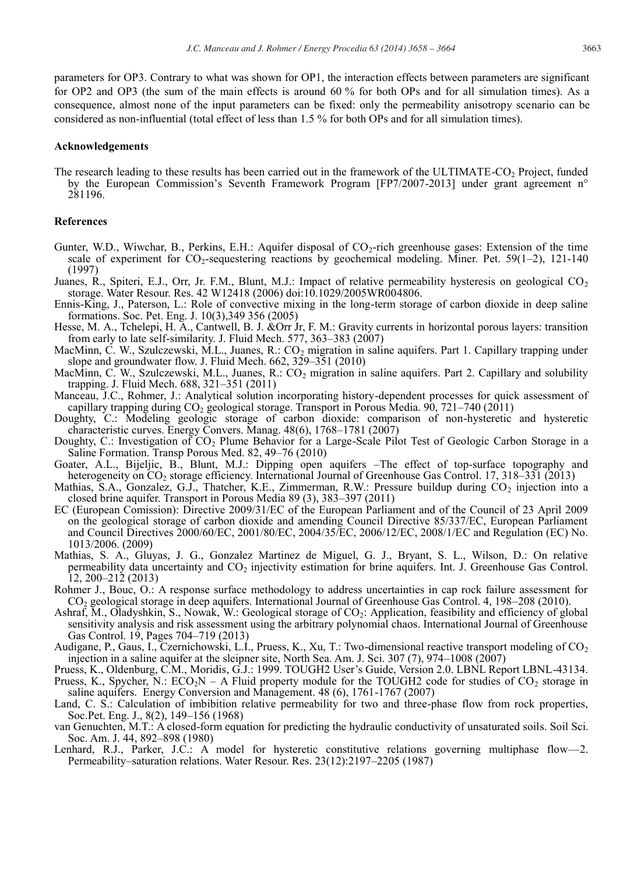parameters for OP3. Contrary to what was shown for OP1, the interaction effects between parameters are significant for OP2 and OP3 (the sum of the main effects is around 60 % for both OPs and for all simulation times). As a consequence, almost none of the input parameters can be fixed: only the permeability anisotropy scenario can be considered as non-influential (total effect of less than 1.5 % for both OPs and for all simulation times).

#### **Acknowledgements**

The research leading to these results has been carried out in the framework of the ULTIMATE-CO<sub>2</sub> Project, funded by the European Commission's Seventh Framework Program [FP7/2007-2013] under grant agreement n° 281196.

#### **References**

- Gunter, W.D., Wiwchar, B., Perkins, E.H.: Aquifer disposal of CO<sub>2</sub>-rich greenhouse gases: Extension of the time scale of experiment for  $CO_2$ -sequestering reactions by geochemical modeling. Miner. Pet. 59(1–2), 121-140 (1997)
- Juanes, R., Spiteri, E.J., Orr, Jr. F.M., Blunt, M.J.: Impact of relative permeability hysteresis on geological  $CO<sub>2</sub>$ storage. Water Resour. Res. 42 W12418 (2006) doi:10.1029/2005WR004806.
- Ennis-King, J., Paterson, L.: Role of convective mixing in the long-term storage of carbon dioxide in deep saline formations. Soc. Pet. Eng. J. 10(3),349 356 (2005)
- Hesse, M. A., Tchelepi, H. A., Cantwell, B. J. &Orr Jr, F. M.: Gravity currents in horizontal porous layers: transition from early to late self-similarity. J. Fluid Mech. 577, 363–383 (2007)
- MacMinn, C. W., Szulczewski, M.L., Juanes, R.:  $CO_2$  migration in saline aquifers. Part 1. Capillary trapping under slope and groundwater flow. J. Fluid Mech. 662, 329–351 (2010)
- MacMinn, C. W., Szulczewski, M.L., Juanes, R.:  $CO<sub>2</sub>$  migration in saline aquifers. Part 2. Capillary and solubility trapping. J. Fluid Mech. 688, 321–351 (2011)
- Manceau, J.C., Rohmer, J.: Analytical solution incorporating history-dependent processes for quick assessment of capillary trapping during CO2 geological storage. Transport in Porous Media. 90, 721–740 (2011)
- Doughty, C.: Modeling geologic storage of carbon dioxide: comparison of non-hysteretic and hysteretic characteristic curves. Energy Convers. Manag. 48(6), 1768–1781 (2007)
- Doughty, C.: Investigation of CO<sub>2</sub> Plume Behavior for a Large-Scale Pilot Test of Geologic Carbon Storage in a Saline Formation. Transp Porous Med. 82, 49–76 (2010)
- Goater, A.L., Bijeljic, B., Blunt, M.J.: Dipping open aquifers –The effect of top-surface topography and heterogeneity on CO<sub>2</sub> storage efficiency. International Journal of Greenhouse Gas Control. 17, 318–331 (2013)
- Mathias, S.A., Gonzalez, G.J., Thatcher, K.E., Zimmerman, R.W.: Pressure buildup during CO<sub>2</sub> injection into a closed brine aquifer. Transport in Porous Media 89 (3), 383–397 (2011)
- EC (European Comission): Directive 2009/31/EC of the European Parliament and of the Council of 23 April 2009 on the geological storage of carbon dioxide and amending Council Directive 85/337/EC, European Parliament and Council Directives 2000/60/EC, 2001/80/EC, 2004/35/EC, 2006/12/EC, 2008/1/EC and Regulation (EC) No. 1013/2006. (2009)
- Mathias, S. A., Gluyas, J. G., Gonzalez Martinez de Miguel, G. J., Bryant, S. L., Wilson, D.: On relative permeability data uncertainty and  $CO<sub>2</sub>$  injectivity estimation for brine aquifers. Int. J. Greenhouse Gas Control. 12, 200–212 (2013)
- Rohmer J., Bouc, O.: A response surface methodology to address uncertainties in cap rock failure assessment for CO2 geological storage in deep aquifers. International Journal of Greenhouse Gas Control. 4, 198–208 (2010).
- Ashraf, M., Oladyshkin, S., Nowak, W.: Geological storage of CO<sub>2</sub>: Application, feasibility and efficiency of global sensitivity analysis and risk assessment using the arbitrary polynomial chaos. International Journal of Greenhouse Gas Control. 19, Pages 704–719 (2013)
- Audigane, P., Gaus, I., Czernichowski, L.I., Pruess, K., Xu, T.: Two-dimensional reactive transport modeling of  $CO<sub>2</sub>$ injection in a saline aquifer at the sleipner site, North Sea. Am. J. Sci. 307 (7), 974–1008 (2007)
- Pruess, K., Oldenburg, C.M., Moridis, G.J.: 1999. TOUGH2 User's Guide, Version 2.0. LBNL Report LBNL-43134. Pruess, K., Spycher, N.:  $ECO_2N - A$  Fluid property module for the TOUGH2 code for studies of  $CO_2$  storage in saline aquifers. Energy Conversion and Management. 48 (6), 1761-1767 (2007)
- Land, C. S.: Calculation of imbibition relative permeability for two and three-phase flow from rock properties, Soc.Pet. Eng. J., 8(2), 149–156 (1968)
- van Genuchten, M.T.: A closed-form equation for predicting the hydraulic conductivity of unsaturated soils. Soil Sci. Soc. Am. J. 44, 892–898 (1980)
- Lenhard, R.J., Parker, J.C.: A model for hysteretic constitutive relations governing multiphase flow—2. Permeability–saturation relations. Water Resour. Res. 23(12):2197–2205 (1987)